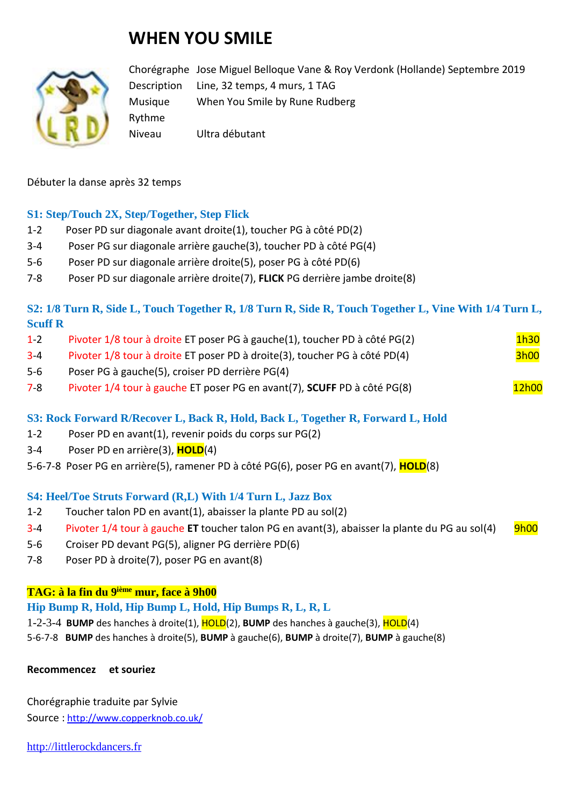# **WHEN YOU SMILE**



Chorégraphe Jose Miguel Belloque Vane & Roy Verdonk (Hollande) Septembre 2019 Description Line, 32 temps, 4 murs, 1 TAG Musique When You Smile by Rune Rudberg Rythme Niveau Ultra débutant

Débuter la danse après 32 temps

## **S1: Step/Touch 2X, Step/Together, Step Flick**

- 1-2 Poser PD sur diagonale avant droite(1), toucher PG à côté PD(2)
- 3-4 Poser PG sur diagonale arrière gauche(3), toucher PD à côté PG(4)
- 5-6 Poser PD sur diagonale arrière droite(5), poser PG à côté PD(6)
- 7-8 Poser PD sur diagonale arrière droite(7), **FLICK** PG derrière jambe droite(8)

# **S2: 1/8 Turn R, Side L, Touch Together R, 1/8 Turn R, Side R, Touch Together L, Vine With 1/4 Turn L, Scuff R**

| $1 - 2$ | Pivoter 1/8 tour à droite ET poser PG à gauche(1), toucher PD à côté PG(2) | 1h30        |
|---------|----------------------------------------------------------------------------|-------------|
| $3 - 4$ | Pivoter 1/8 tour à droite ET poser PD à droite(3), toucher PG à côté PD(4) | <b>3h00</b> |

- 5-6 Poser PG à gauche(5), croiser PD derrière PG(4)
- 7-8 Pivoter 1/4 tour à gauche ET poser PG en avant(7), **SCUFF** PD à côté PG(8) Protection 12h00

## **S3: Rock Forward R/Recover L, Back R, Hold, Back L, Together R, Forward L, Hold**

- 1-2 Poser PD en avant(1), revenir poids du corps sur PG(2)
- 3-4 Poser PD en arrière(3), **HOLD**(4)
- 5-6-7-8 Poser PG en arrière(5), ramener PD à côté PG(6), poser PG en avant(7), **HOLD**(8)

#### **S4: Heel/Toe Struts Forward (R,L) With 1/4 Turn L, Jazz Box**

- 1-2 Toucher talon PD en avant(1), abaisser la plante PD au sol(2)
- 3-4 Pivoter 1/4 tour à gauche **ET** toucher talon PG en avant(3), abaisser la plante du PG au sol(4) 9h00
- 5-6 Croiser PD devant PG(5), aligner PG derrière PD(6)
- 7-8 Poser PD à droite(7), poser PG en avant(8)

#### **TAG: à la fin du 9ième mur, face à 9h00**

## **Hip Bump R, Hold, Hip Bump L, Hold, Hip Bumps R, L, R, L**

- 1-2-3-4 **BUMP** des hanches à droite(1), HOLD(2), **BUMP** des hanches à gauche(3), HOLD(4)
- 5-6-7-8 **BUMP** des hanches à droite(5), **BUMP** à gauche(6), **BUMP** à droite(7), **BUMP** à gauche(8)

#### **Recommencez et souriez**

Chorégraphie traduite par Sylvie Source : [http://www.copperknob.co.uk/](https://www.copperknob.co.uk/) 

[http://littlerockdancers.fr](http://littlerockdancers.fr/)